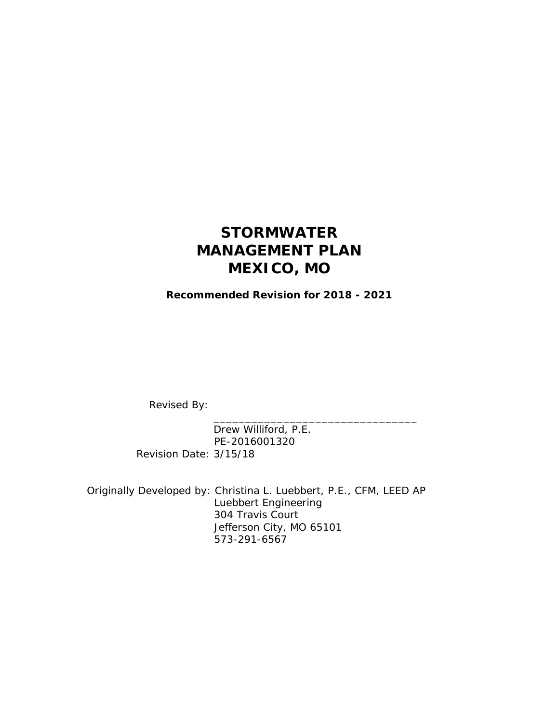## **STORMWATER MANAGEMENT PLAN MEXICO, MO**

**Recommended Revision for 2018 - 2021** 

Revised By:

 Drew Williford, P.E. PE-2016001320 Revision Date: 3/15/18

 $\overline{\phantom{a}}$  ,  $\overline{\phantom{a}}$  ,  $\overline{\phantom{a}}$  ,  $\overline{\phantom{a}}$  ,  $\overline{\phantom{a}}$  ,  $\overline{\phantom{a}}$  ,  $\overline{\phantom{a}}$  ,  $\overline{\phantom{a}}$  ,  $\overline{\phantom{a}}$  ,  $\overline{\phantom{a}}$  ,  $\overline{\phantom{a}}$  ,  $\overline{\phantom{a}}$  ,  $\overline{\phantom{a}}$  ,  $\overline{\phantom{a}}$  ,  $\overline{\phantom{a}}$  ,  $\overline{\phantom{a}}$ 

 Originally Developed by: Christina L. Luebbert, P.E., CFM, LEED AP Luebbert Engineering 304 Travis Court Jefferson City, MO 65101 573-291-6567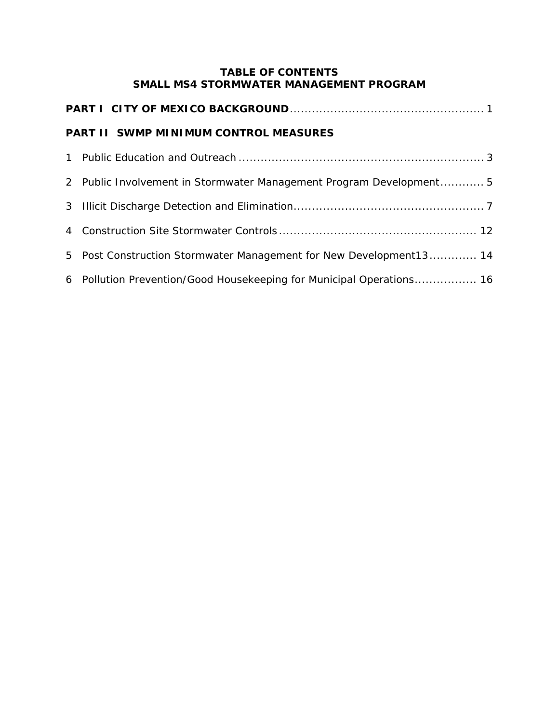#### **TABLE OF CONTENTS SMALL MS4 STORMWATER MANAGEMENT PROGRAM**

| <b>PART II SWMP MINIMUM CONTROL MEASURES</b> |                                                                      |  |  |
|----------------------------------------------|----------------------------------------------------------------------|--|--|
|                                              |                                                                      |  |  |
|                                              | 2 Public Involvement in Stormwater Management Program Development5   |  |  |
|                                              |                                                                      |  |  |
|                                              |                                                                      |  |  |
|                                              | 5 Post Construction Stormwater Management for New Development13 14   |  |  |
|                                              | 6 Pollution Prevention/Good Housekeeping for Municipal Operations 16 |  |  |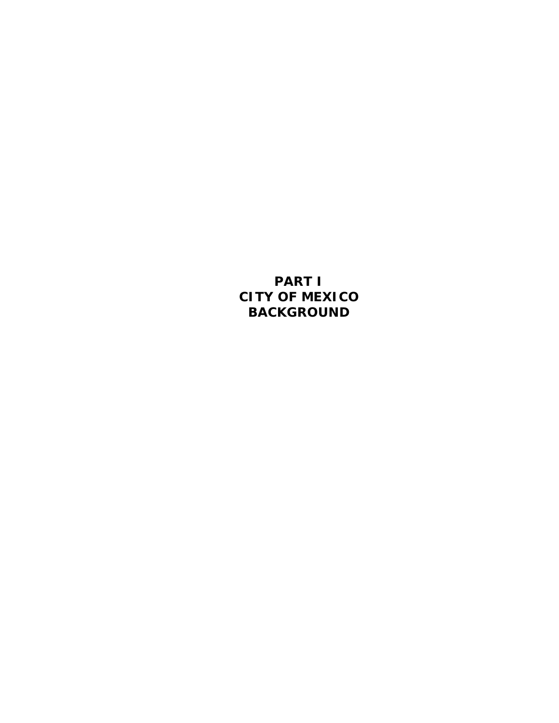**PART I CITY OF MEXICO BACKGROUND**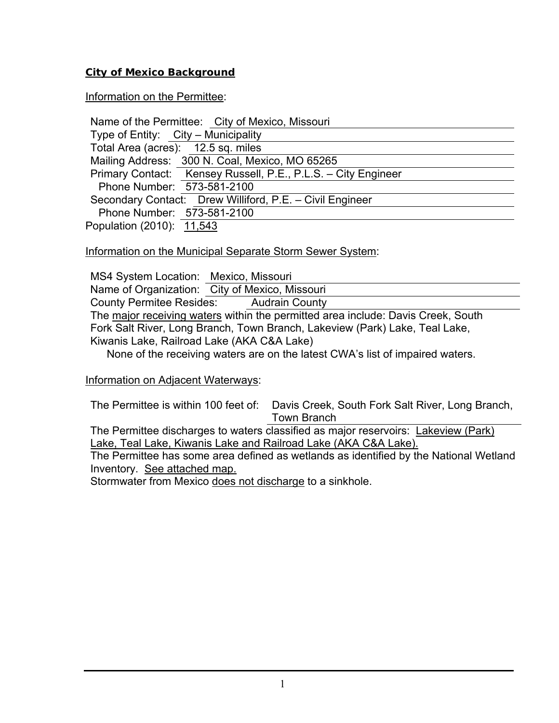#### **City of Mexico Background**

#### Information on the Permittee:

Information on the Municipal Separate Storm Sewer System:

| MS4 System Location: Mexico, Missouri      |                                                                                  |
|--------------------------------------------|----------------------------------------------------------------------------------|
|                                            | Name of Organization: City of Mexico, Missouri                                   |
|                                            | County Permitee Resides: Audrain County                                          |
|                                            | The major receiving waters within the permitted area include: Davis Creek, South |
|                                            | Fork Salt River, Long Branch, Town Branch, Lakeview (Park) Lake, Teal Lake,      |
| Kiwanis Lake, Railroad Lake (AKA C&A Lake) |                                                                                  |
|                                            | None of the receiving waters are on the latest CWA's list of impaired waters     |

None of the receiving waters are on the latest CWA's list of impaired waters.

#### Information on Adjacent Waterways:

The Permittee is within 100 feet of: Davis Creek, South Fork Salt River, Long Branch, Town Branch

The Permittee discharges to waters classified as major reservoirs: Lakeview (Park) Lake, Teal Lake, Kiwanis Lake and Railroad Lake (AKA C&A Lake).

The Permittee has some area defined as wetlands as identified by the National Wetland Inventory. See attached map.

Stormwater from Mexico does not discharge to a sinkhole.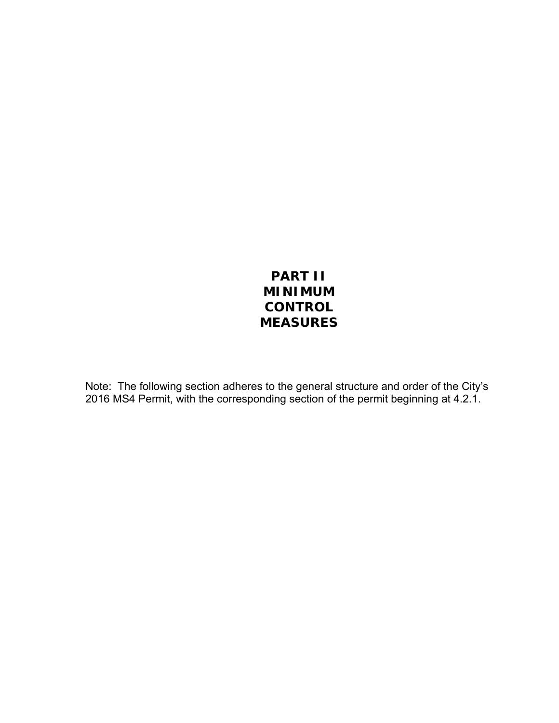## **PART II MINIMUM CONTROL MEASURES**

Note: The following section adheres to the general structure and order of the City's 2016 MS4 Permit, with the corresponding section of the permit beginning at 4.2.1.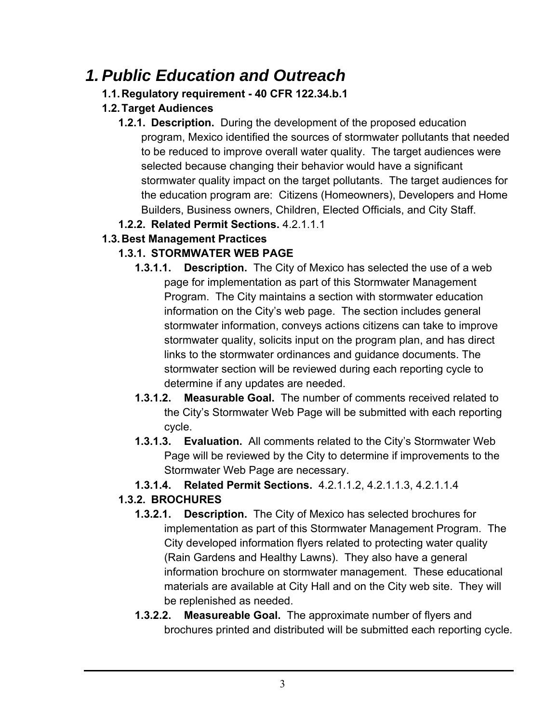# *1. Public Education and Outreach*

## **1.1. Regulatory requirement - 40 CFR 122.34.b.1**

## **1.2. Target Audiences**

- **1.2.1. Description.** During the development of the proposed education program, Mexico identified the sources of stormwater pollutants that needed to be reduced to improve overall water quality. The target audiences were selected because changing their behavior would have a significant stormwater quality impact on the target pollutants. The target audiences for the education program are: Citizens (Homeowners), Developers and Home Builders, Business owners, Children, Elected Officials, and City Staff.
- **1.2.2. Related Permit Sections.** 4.2.1.1.1

## **1.3. Best Management Practices**

## **1.3.1. STORMWATER WEB PAGE**

- **1.3.1.1. Description.** The City of Mexico has selected the use of a web page for implementation as part of this Stormwater Management Program. The City maintains a section with stormwater education information on the City's web page. The section includes general stormwater information, conveys actions citizens can take to improve stormwater quality, solicits input on the program plan, and has direct links to the stormwater ordinances and guidance documents. The stormwater section will be reviewed during each reporting cycle to determine if any updates are needed.
- **1.3.1.2. Measurable Goal.** The number of comments received related to the City's Stormwater Web Page will be submitted with each reporting cycle.
- **1.3.1.3. Evaluation.** All comments related to the City's Stormwater Web Page will be reviewed by the City to determine if improvements to the Stormwater Web Page are necessary.
- **1.3.1.4. Related Permit Sections.** 4.2.1.1.2, 4.2.1.1.3, 4.2.1.1.4

## **1.3.2. BROCHURES**

- **1.3.2.1. Description.** The City of Mexico has selected brochures for implementation as part of this Stormwater Management Program. The City developed information flyers related to protecting water quality (Rain Gardens and Healthy Lawns). They also have a general information brochure on stormwater management. These educational materials are available at City Hall and on the City web site. They will be replenished as needed.
- **1.3.2.2. Measureable Goal.** The approximate number of flyers and brochures printed and distributed will be submitted each reporting cycle.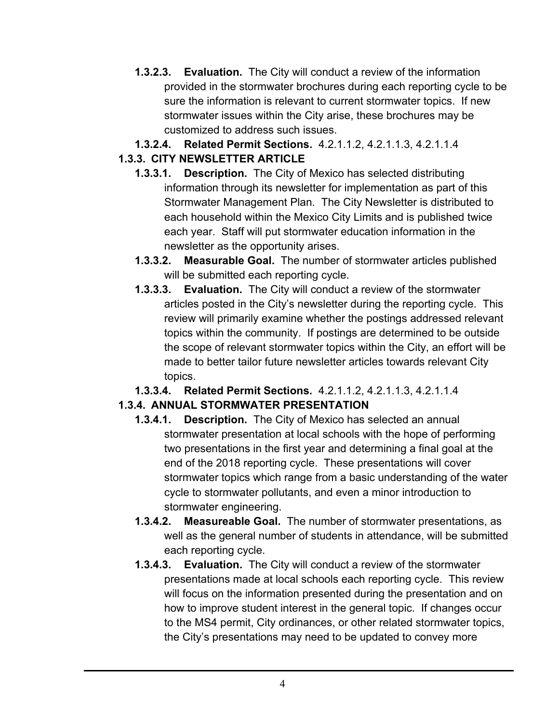**1.3.2.3. Evaluation.** The City will conduct a review of the information provided in the stormwater brochures during each reporting cycle to be sure the information is relevant to current stormwater topics. If new stormwater issues within the City arise, these brochures may be customized to address such issues.

#### **1.3.2.4. Related Permit Sections.** 4.2.1.1.2, 4.2.1.1.3, 4.2.1.1.4 **1.3.3. CITY NEWSLETTER ARTICLE**

- **1.3.3.1. Description.** The City of Mexico has selected distributing information through its newsletter for implementation as part of this Stormwater Management Plan. The City Newsletter is distributed to each household within the Mexico City Limits and is published twice each year. Staff will put stormwater education information in the newsletter as the opportunity arises.
- **1.3.3.2. Measurable Goal.** The number of stormwater articles published will be submitted each reporting cycle.
- **1.3.3.3. Evaluation.** The City will conduct a review of the stormwater articles posted in the City's newsletter during the reporting cycle. This review will primarily examine whether the postings addressed relevant topics within the community. If postings are determined to be outside the scope of relevant stormwater topics within the City, an effort will be made to better tailor future newsletter articles towards relevant City topics.
- **1.3.3.4. Related Permit Sections.** 4.2.1.1.2, 4.2.1.1.3, 4.2.1.1.4

## **1.3.4. ANNUAL STORMWATER PRESENTATION**

- **1.3.4.1. Description.** The City of Mexico has selected an annual stormwater presentation at local schools with the hope of performing two presentations in the first year and determining a final goal at the end of the 2018 reporting cycle. These presentations will cover stormwater topics which range from a basic understanding of the water cycle to stormwater pollutants, and even a minor introduction to stormwater engineering.
- **1.3.4.2. Measureable Goal.** The number of stormwater presentations, as well as the general number of students in attendance, will be submitted each reporting cycle.
- **1.3.4.3. Evaluation.** The City will conduct a review of the stormwater presentations made at local schools each reporting cycle. This review will focus on the information presented during the presentation and on how to improve student interest in the general topic. If changes occur to the MS4 permit, City ordinances, or other related stormwater topics, the City's presentations may need to be updated to convey more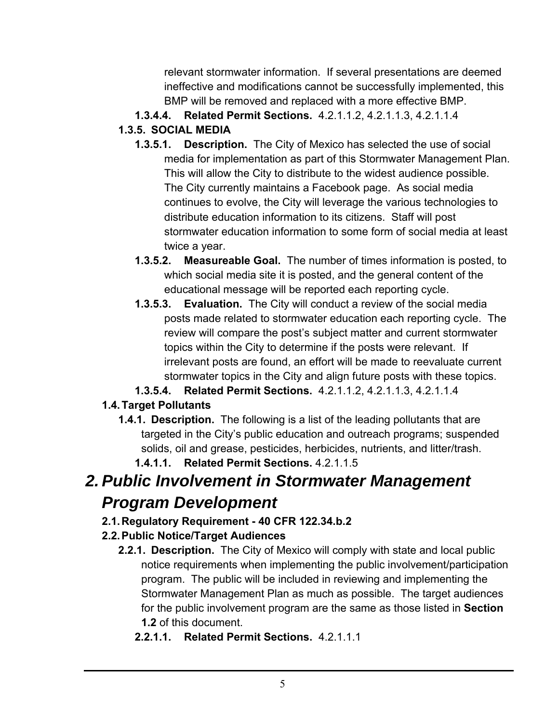relevant stormwater information. If several presentations are deemed ineffective and modifications cannot be successfully implemented, this BMP will be removed and replaced with a more effective BMP.

**1.3.4.4. Related Permit Sections.** 4.2.1.1.2, 4.2.1.1.3, 4.2.1.1.4

#### **1.3.5. SOCIAL MEDIA**

- **1.3.5.1. Description.** The City of Mexico has selected the use of social media for implementation as part of this Stormwater Management Plan. This will allow the City to distribute to the widest audience possible. The City currently maintains a Facebook page. As social media continues to evolve, the City will leverage the various technologies to distribute education information to its citizens. Staff will post stormwater education information to some form of social media at least twice a year.
- **1.3.5.2. Measureable Goal.** The number of times information is posted, to which social media site it is posted, and the general content of the educational message will be reported each reporting cycle.
- **1.3.5.3. Evaluation.** The City will conduct a review of the social media posts made related to stormwater education each reporting cycle. The review will compare the post's subject matter and current stormwater topics within the City to determine if the posts were relevant. If irrelevant posts are found, an effort will be made to reevaluate current stormwater topics in the City and align future posts with these topics.
- **1.3.5.4. Related Permit Sections.** 4.2.1.1.2, 4.2.1.1.3, 4.2.1.1.4

## **1.4. Target Pollutants**

- **1.4.1. Description.** The following is a list of the leading pollutants that are targeted in the City's public education and outreach programs; suspended solids, oil and grease, pesticides, herbicides, nutrients, and litter/trash.
	- **1.4.1.1. Related Permit Sections.** 4.2.1.1.5

# *2. Public Involvement in Stormwater Management Program Development*

**2.1. Regulatory Requirement - 40 CFR 122.34.b.2** 

## **2.2. Public Notice/Target Audiences**

- **2.2.1. Description.** The City of Mexico will comply with state and local public notice requirements when implementing the public involvement/participation program. The public will be included in reviewing and implementing the Stormwater Management Plan as much as possible. The target audiences for the public involvement program are the same as those listed in **Section 1.2** of this document.
	- **2.2.1.1. Related Permit Sections.** 4.2.1.1.1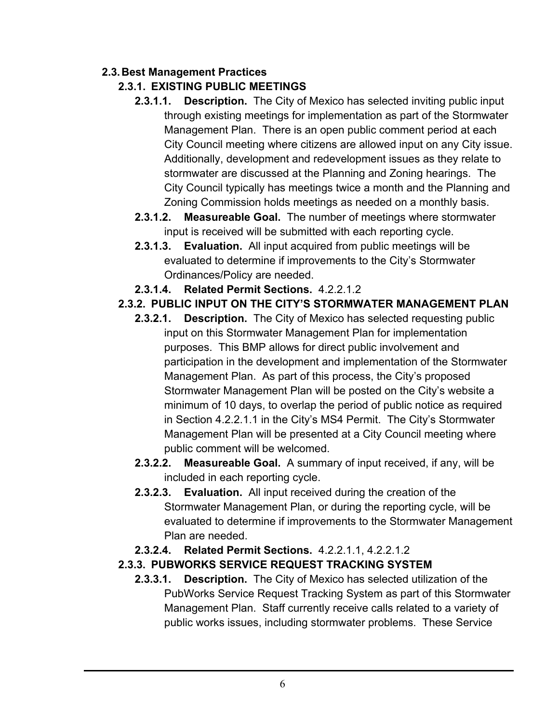#### **2.3. Best Management Practices**

#### **2.3.1. EXISTING PUBLIC MEETINGS**

- **2.3.1.1. Description.** The City of Mexico has selected inviting public input through existing meetings for implementation as part of the Stormwater Management Plan. There is an open public comment period at each City Council meeting where citizens are allowed input on any City issue. Additionally, development and redevelopment issues as they relate to stormwater are discussed at the Planning and Zoning hearings. The City Council typically has meetings twice a month and the Planning and Zoning Commission holds meetings as needed on a monthly basis.
- **2.3.1.2. Measureable Goal.** The number of meetings where stormwater input is received will be submitted with each reporting cycle.
- **2.3.1.3. Evaluation.** All input acquired from public meetings will be evaluated to determine if improvements to the City's Stormwater Ordinances/Policy are needed.
- **2.3.1.4. Related Permit Sections.** 4.2.2.1.2

#### **2.3.2. PUBLIC INPUT ON THE CITY'S STORMWATER MANAGEMENT PLAN**

- **2.3.2.1. Description.** The City of Mexico has selected requesting public input on this Stormwater Management Plan for implementation purposes. This BMP allows for direct public involvement and participation in the development and implementation of the Stormwater Management Plan. As part of this process, the City's proposed Stormwater Management Plan will be posted on the City's website a minimum of 10 days, to overlap the period of public notice as required in Section 4.2.2.1.1 in the City's MS4 Permit. The City's Stormwater Management Plan will be presented at a City Council meeting where public comment will be welcomed.
- **2.3.2.2. Measureable Goal.** A summary of input received, if any, will be included in each reporting cycle.
- **2.3.2.3. Evaluation.** All input received during the creation of the Stormwater Management Plan, or during the reporting cycle, will be evaluated to determine if improvements to the Stormwater Management Plan are needed.
- **2.3.2.4. Related Permit Sections.** 4.2.2.1.1, 4.2.2.1.2

#### **2.3.3. PUBWORKS SERVICE REQUEST TRACKING SYSTEM**

**2.3.3.1. Description.** The City of Mexico has selected utilization of the PubWorks Service Request Tracking System as part of this Stormwater Management Plan. Staff currently receive calls related to a variety of public works issues, including stormwater problems. These Service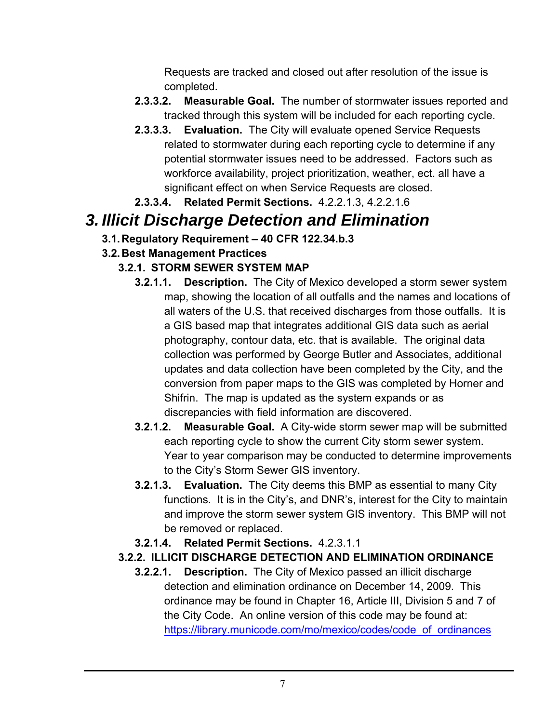Requests are tracked and closed out after resolution of the issue is completed.

- **2.3.3.2. Measurable Goal.** The number of stormwater issues reported and tracked through this system will be included for each reporting cycle.
- **2.3.3.3. Evaluation.** The City will evaluate opened Service Requests related to stormwater during each reporting cycle to determine if any potential stormwater issues need to be addressed. Factors such as workforce availability, project prioritization, weather, ect. all have a significant effect on when Service Requests are closed.
- **2.3.3.4. Related Permit Sections.** 4.2.2.1.3, 4.2.2.1.6

## *3. Illicit Discharge Detection and Elimination*

**3.1. Regulatory Requirement – 40 CFR 122.34.b.3**

## **3.2. Best Management Practices**

## **3.2.1. STORM SEWER SYSTEM MAP**

- **3.2.1.1. Description.** The City of Mexico developed a storm sewer system map, showing the location of all outfalls and the names and locations of all waters of the U.S. that received discharges from those outfalls. It is a GIS based map that integrates additional GIS data such as aerial photography, contour data, etc. that is available. The original data collection was performed by George Butler and Associates, additional updates and data collection have been completed by the City, and the conversion from paper maps to the GIS was completed by Horner and Shifrin. The map is updated as the system expands or as discrepancies with field information are discovered.
- **3.2.1.2. Measurable Goal.** A City-wide storm sewer map will be submitted each reporting cycle to show the current City storm sewer system. Year to year comparison may be conducted to determine improvements to the City's Storm Sewer GIS inventory.
- **3.2.1.3. Evaluation.** The City deems this BMP as essential to many City functions. It is in the City's, and DNR's, interest for the City to maintain and improve the storm sewer system GIS inventory. This BMP will not be removed or replaced.
- **3.2.1.4. Related Permit Sections.** 4.2.3.1.1
- **3.2.2. ILLICIT DISCHARGE DETECTION AND ELIMINATION ORDINANCE** 
	- **3.2.2.1. Description.** The City of Mexico passed an illicit discharge detection and elimination ordinance on December 14, 2009. This ordinance may be found in Chapter 16, Article III, Division 5 and 7 of the City Code. An online version of this code may be found at: https://library.municode.com/mo/mexico/codes/code\_of\_ordinances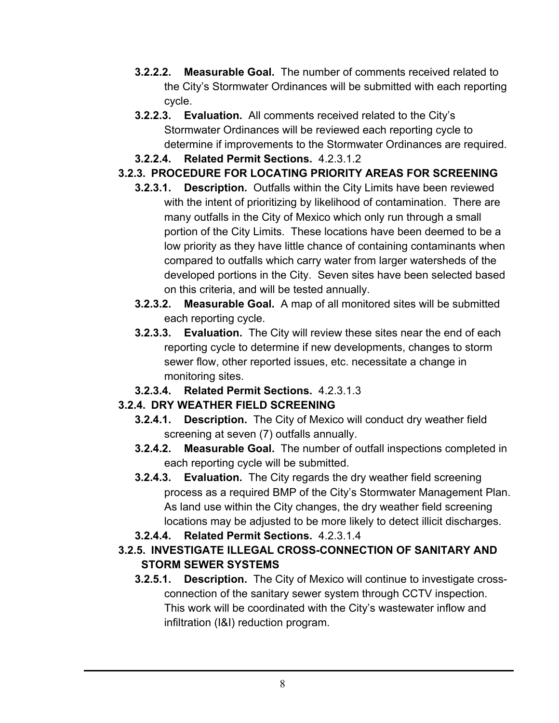- **3.2.2.2. Measurable Goal.** The number of comments received related to the City's Stormwater Ordinances will be submitted with each reporting cycle.
- **3.2.2.3. Evaluation.** All comments received related to the City's Stormwater Ordinances will be reviewed each reporting cycle to determine if improvements to the Stormwater Ordinances are required.
- **3.2.2.4. Related Permit Sections.** 4.2.3.1.2

#### **3.2.3. PROCEDURE FOR LOCATING PRIORITY AREAS FOR SCREENING**

- **3.2.3.1. Description.** Outfalls within the City Limits have been reviewed with the intent of prioritizing by likelihood of contamination. There are many outfalls in the City of Mexico which only run through a small portion of the City Limits. These locations have been deemed to be a low priority as they have little chance of containing contaminants when compared to outfalls which carry water from larger watersheds of the developed portions in the City. Seven sites have been selected based on this criteria, and will be tested annually.
- **3.2.3.2. Measurable Goal.** A map of all monitored sites will be submitted each reporting cycle.
- **3.2.3.3. Evaluation.** The City will review these sites near the end of each reporting cycle to determine if new developments, changes to storm sewer flow, other reported issues, etc. necessitate a change in monitoring sites.
- **3.2.3.4. Related Permit Sections.** 4.2.3.1.3

#### **3.2.4. DRY WEATHER FIELD SCREENING**

- **3.2.4.1. Description.** The City of Mexico will conduct dry weather field screening at seven (7) outfalls annually.
- **3.2.4.2. Measurable Goal.** The number of outfall inspections completed in each reporting cycle will be submitted.
- **3.2.4.3. Evaluation.** The City regards the dry weather field screening process as a required BMP of the City's Stormwater Management Plan. As land use within the City changes, the dry weather field screening locations may be adjusted to be more likely to detect illicit discharges.
- **3.2.4.4. Related Permit Sections.** 4.2.3.1.4

#### **3.2.5. INVESTIGATE ILLEGAL CROSS-CONNECTION OF SANITARY AND STORM SEWER SYSTEMS**

**3.2.5.1. Description.** The City of Mexico will continue to investigate crossconnection of the sanitary sewer system through CCTV inspection. This work will be coordinated with the City's wastewater inflow and infiltration (I&I) reduction program.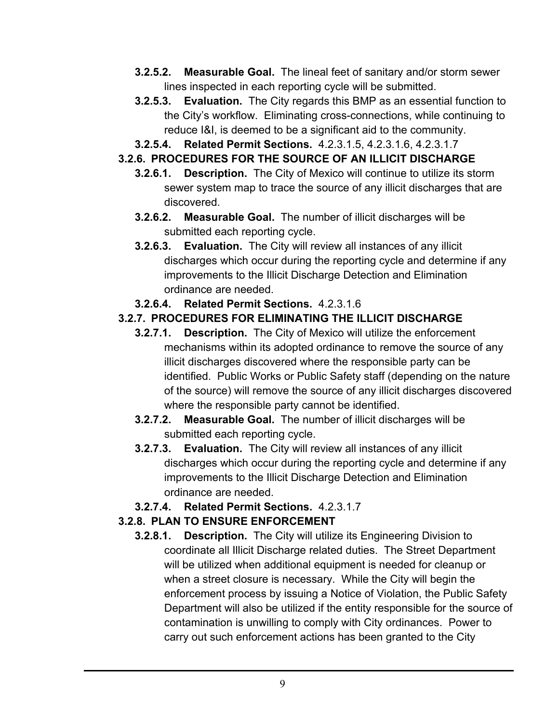- **3.2.5.2. Measurable Goal.** The lineal feet of sanitary and/or storm sewer lines inspected in each reporting cycle will be submitted.
- **3.2.5.3. Evaluation.** The City regards this BMP as an essential function to the City's workflow. Eliminating cross-connections, while continuing to reduce I&I, is deemed to be a significant aid to the community.
- **3.2.5.4. Related Permit Sections.** 4.2.3.1.5, 4.2.3.1.6, 4.2.3.1.7

#### **3.2.6. PROCEDURES FOR THE SOURCE OF AN ILLICIT DISCHARGE**

- **3.2.6.1. Description.** The City of Mexico will continue to utilize its storm sewer system map to trace the source of any illicit discharges that are discovered.
- **3.2.6.2. Measurable Goal.** The number of illicit discharges will be submitted each reporting cycle.
- **3.2.6.3. Evaluation.** The City will review all instances of any illicit discharges which occur during the reporting cycle and determine if any improvements to the Illicit Discharge Detection and Elimination ordinance are needed.
- **3.2.6.4. Related Permit Sections.** 4.2.3.1.6

#### **3.2.7. PROCEDURES FOR ELIMINATING THE ILLICIT DISCHARGE**

- **3.2.7.1. Description.** The City of Mexico will utilize the enforcement mechanisms within its adopted ordinance to remove the source of any illicit discharges discovered where the responsible party can be identified. Public Works or Public Safety staff (depending on the nature of the source) will remove the source of any illicit discharges discovered where the responsible party cannot be identified.
- **3.2.7.2. Measurable Goal.** The number of illicit discharges will be submitted each reporting cycle.
- **3.2.7.3. Evaluation.** The City will review all instances of any illicit discharges which occur during the reporting cycle and determine if any improvements to the Illicit Discharge Detection and Elimination ordinance are needed.
- **3.2.7.4. Related Permit Sections.** 4.2.3.1.7

#### **3.2.8. PLAN TO ENSURE ENFORCEMENT**

**3.2.8.1. Description.** The City will utilize its Engineering Division to coordinate all Illicit Discharge related duties. The Street Department will be utilized when additional equipment is needed for cleanup or when a street closure is necessary. While the City will begin the enforcement process by issuing a Notice of Violation, the Public Safety Department will also be utilized if the entity responsible for the source of contamination is unwilling to comply with City ordinances. Power to carry out such enforcement actions has been granted to the City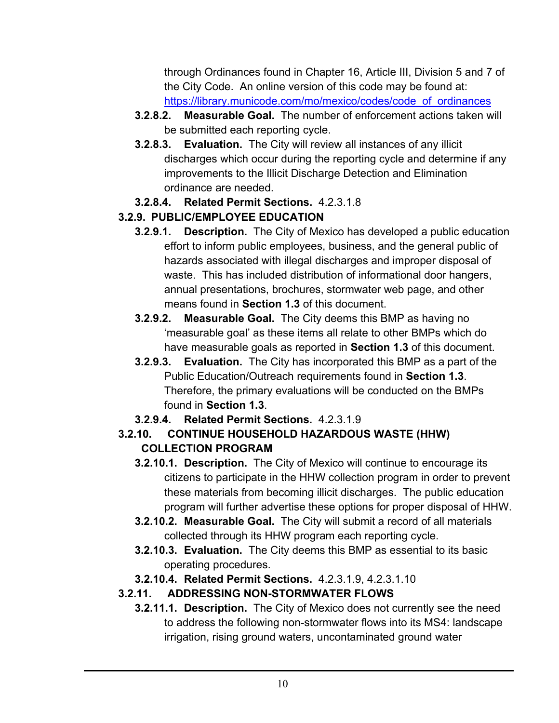through Ordinances found in Chapter 16, Article III, Division 5 and 7 of the City Code. An online version of this code may be found at: https://library.municode.com/mo/mexico/codes/code\_of\_ordinances

- **3.2.8.2. Measurable Goal.** The number of enforcement actions taken will be submitted each reporting cycle.
- **3.2.8.3. Evaluation.** The City will review all instances of any illicit discharges which occur during the reporting cycle and determine if any improvements to the Illicit Discharge Detection and Elimination ordinance are needed.
- **3.2.8.4. Related Permit Sections.** 4.2.3.1.8

## **3.2.9. PUBLIC/EMPLOYEE EDUCATION**

- **3.2.9.1. Description.** The City of Mexico has developed a public education effort to inform public employees, business, and the general public of hazards associated with illegal discharges and improper disposal of waste. This has included distribution of informational door hangers, annual presentations, brochures, stormwater web page, and other means found in **Section 1.3** of this document.
- **3.2.9.2. Measurable Goal.** The City deems this BMP as having no 'measurable goal' as these items all relate to other BMPs which do have measurable goals as reported in **Section 1.3** of this document.
- **3.2.9.3. Evaluation.** The City has incorporated this BMP as a part of the Public Education/Outreach requirements found in **Section 1.3**. Therefore, the primary evaluations will be conducted on the BMPs found in **Section 1.3**.
- **3.2.9.4. Related Permit Sections.** 4.2.3.1.9
- **3.2.10. CONTINUE HOUSEHOLD HAZARDOUS WASTE (HHW) COLLECTION PROGRAM** 
	- **3.2.10.1. Description.** The City of Mexico will continue to encourage its citizens to participate in the HHW collection program in order to prevent these materials from becoming illicit discharges. The public education program will further advertise these options for proper disposal of HHW.
	- **3.2.10.2. Measurable Goal.** The City will submit a record of all materials collected through its HHW program each reporting cycle.
	- **3.2.10.3. Evaluation.** The City deems this BMP as essential to its basic operating procedures.
	- **3.2.10.4. Related Permit Sections.** 4.2.3.1.9, 4.2.3.1.10

## **3.2.11. ADDRESSING NON-STORMWATER FLOWS**

**3.2.11.1. Description.** The City of Mexico does not currently see the need to address the following non-stormwater flows into its MS4: landscape irrigation, rising ground waters, uncontaminated ground water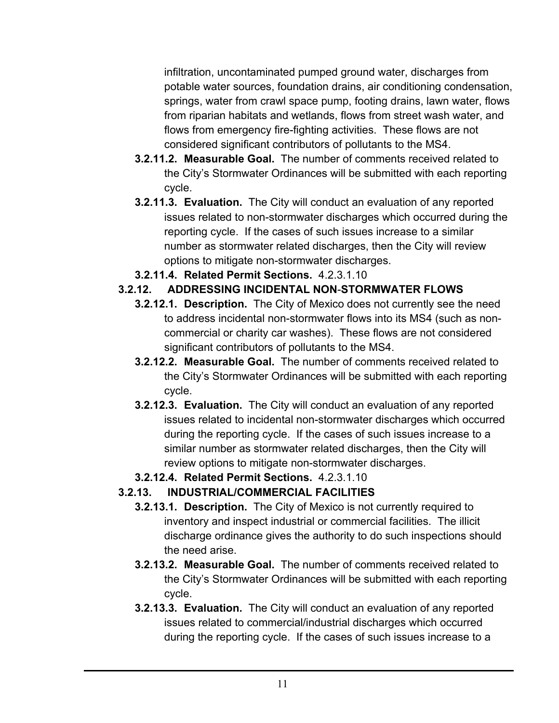infiltration, uncontaminated pumped ground water, discharges from potable water sources, foundation drains, air conditioning condensation, springs, water from crawl space pump, footing drains, lawn water, flows from riparian habitats and wetlands, flows from street wash water, and flows from emergency fire-fighting activities. These flows are not considered significant contributors of pollutants to the MS4.

- **3.2.11.2. Measurable Goal.** The number of comments received related to the City's Stormwater Ordinances will be submitted with each reporting cycle.
- **3.2.11.3. Evaluation.** The City will conduct an evaluation of any reported issues related to non-stormwater discharges which occurred during the reporting cycle. If the cases of such issues increase to a similar number as stormwater related discharges, then the City will review options to mitigate non-stormwater discharges.
- **3.2.11.4. Related Permit Sections.** 4.2.3.1.10

## **3.2.12. ADDRESSING INCIDENTAL NON**-**STORMWATER FLOWS**

- **3.2.12.1. Description.** The City of Mexico does not currently see the need to address incidental non-stormwater flows into its MS4 (such as noncommercial or charity car washes). These flows are not considered significant contributors of pollutants to the MS4.
- **3.2.12.2. Measurable Goal.** The number of comments received related to the City's Stormwater Ordinances will be submitted with each reporting cycle.
- **3.2.12.3. Evaluation.** The City will conduct an evaluation of any reported issues related to incidental non-stormwater discharges which occurred during the reporting cycle. If the cases of such issues increase to a similar number as stormwater related discharges, then the City will review options to mitigate non-stormwater discharges.
- **3.2.12.4. Related Permit Sections.** 4.2.3.1.10

## **3.2.13. INDUSTRIAL/COMMERCIAL FACILITIES**

- **3.2.13.1. Description.** The City of Mexico is not currently required to inventory and inspect industrial or commercial facilities. The illicit discharge ordinance gives the authority to do such inspections should the need arise.
- **3.2.13.2. Measurable Goal.** The number of comments received related to the City's Stormwater Ordinances will be submitted with each reporting cycle.
- **3.2.13.3. Evaluation.** The City will conduct an evaluation of any reported issues related to commercial/industrial discharges which occurred during the reporting cycle. If the cases of such issues increase to a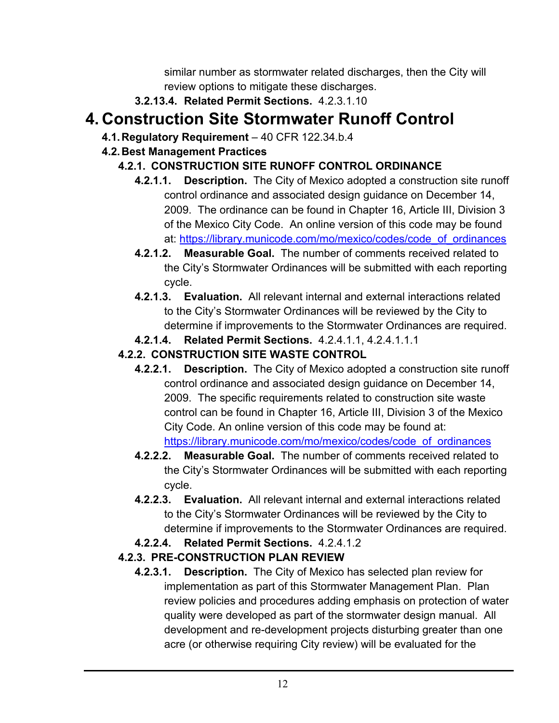similar number as stormwater related discharges, then the City will review options to mitigate these discharges.

**3.2.13.4. Related Permit Sections.** 4.2.3.1.10

# **4. Construction Site Stormwater Runoff Control**

**4.1. Regulatory Requirement** – 40 CFR 122.34.b.4

## **4.2. Best Management Practices**

## **4.2.1. CONSTRUCTION SITE RUNOFF CONTROL ORDINANCE**

- **4.2.1.1. Description.** The City of Mexico adopted a construction site runoff control ordinance and associated design guidance on December 14, 2009. The ordinance can be found in Chapter 16, Article III, Division 3 of the Mexico City Code. An online version of this code may be found at: https://library.municode.com/mo/mexico/codes/code\_of\_ordinances
- **4.2.1.2. Measurable Goal.** The number of comments received related to the City's Stormwater Ordinances will be submitted with each reporting cycle.
- **4.2.1.3. Evaluation.** All relevant internal and external interactions related to the City's Stormwater Ordinances will be reviewed by the City to determine if improvements to the Stormwater Ordinances are required.
- **4.2.1.4. Related Permit Sections.** 4.2.4.1.1, 4.2.4.1.1.1

## **4.2.2. CONSTRUCTION SITE WASTE CONTROL**

- **4.2.2.1. Description.** The City of Mexico adopted a construction site runoff control ordinance and associated design guidance on December 14, 2009. The specific requirements related to construction site waste control can be found in Chapter 16, Article III, Division 3 of the Mexico City Code. An online version of this code may be found at: https://library.municode.com/mo/mexico/codes/code\_of\_ordinances
- **4.2.2.2. Measurable Goal.** The number of comments received related to the City's Stormwater Ordinances will be submitted with each reporting cycle.
- **4.2.2.3. Evaluation.** All relevant internal and external interactions related to the City's Stormwater Ordinances will be reviewed by the City to determine if improvements to the Stormwater Ordinances are required.
- **4.2.2.4. Related Permit Sections.** 4.2.4.1.2

## **4.2.3. PRE-CONSTRUCTION PLAN REVIEW**

**4.2.3.1. Description.** The City of Mexico has selected plan review for implementation as part of this Stormwater Management Plan. Plan review policies and procedures adding emphasis on protection of water quality were developed as part of the stormwater design manual. All development and re-development projects disturbing greater than one acre (or otherwise requiring City review) will be evaluated for the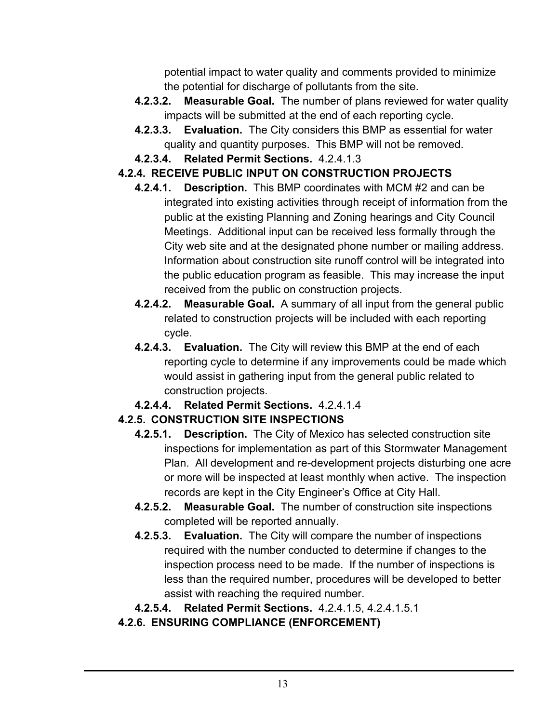potential impact to water quality and comments provided to minimize the potential for discharge of pollutants from the site.

- **4.2.3.2. Measurable Goal.** The number of plans reviewed for water quality impacts will be submitted at the end of each reporting cycle.
- **4.2.3.3. Evaluation.** The City considers this BMP as essential for water quality and quantity purposes. This BMP will not be removed.
- **4.2.3.4. Related Permit Sections.** 4.2.4.1.3

#### **4.2.4. RECEIVE PUBLIC INPUT ON CONSTRUCTION PROJECTS**

- **4.2.4.1. Description.** This BMP coordinates with MCM #2 and can be integrated into existing activities through receipt of information from the public at the existing Planning and Zoning hearings and City Council Meetings. Additional input can be received less formally through the City web site and at the designated phone number or mailing address. Information about construction site runoff control will be integrated into the public education program as feasible. This may increase the input received from the public on construction projects.
- **4.2.4.2. Measurable Goal.** A summary of all input from the general public related to construction projects will be included with each reporting cycle.
- **4.2.4.3. Evaluation.** The City will review this BMP at the end of each reporting cycle to determine if any improvements could be made which would assist in gathering input from the general public related to construction projects.
- **4.2.4.4. Related Permit Sections.** 4.2.4.1.4

## **4.2.5. CONSTRUCTION SITE INSPECTIONS**

- **4.2.5.1. Description.** The City of Mexico has selected construction site inspections for implementation as part of this Stormwater Management Plan. All development and re-development projects disturbing one acre or more will be inspected at least monthly when active. The inspection records are kept in the City Engineer's Office at City Hall.
- **4.2.5.2. Measurable Goal.** The number of construction site inspections completed will be reported annually.
- **4.2.5.3. Evaluation.** The City will compare the number of inspections required with the number conducted to determine if changes to the inspection process need to be made. If the number of inspections is less than the required number, procedures will be developed to better assist with reaching the required number.
- **4.2.5.4. Related Permit Sections.** 4.2.4.1.5, 4.2.4.1.5.1

#### **4.2.6. ENSURING COMPLIANCE (ENFORCEMENT)**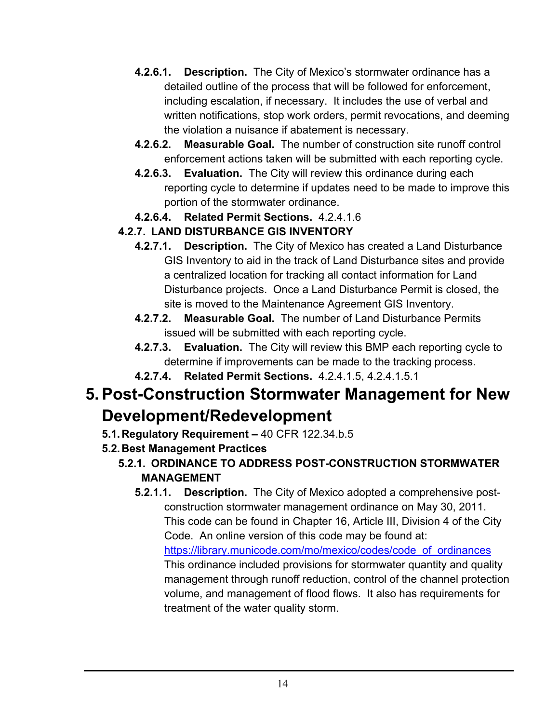- **4.2.6.1. Description.** The City of Mexico's stormwater ordinance has a detailed outline of the process that will be followed for enforcement, including escalation, if necessary. It includes the use of verbal and written notifications, stop work orders, permit revocations, and deeming the violation a nuisance if abatement is necessary.
- **4.2.6.2. Measurable Goal.** The number of construction site runoff control enforcement actions taken will be submitted with each reporting cycle.
- **4.2.6.3. Evaluation.** The City will review this ordinance during each reporting cycle to determine if updates need to be made to improve this portion of the stormwater ordinance.
- **4.2.6.4. Related Permit Sections.** 4.2.4.1.6

#### **4.2.7. LAND DISTURBANCE GIS INVENTORY**

- **4.2.7.1. Description.** The City of Mexico has created a Land Disturbance GIS Inventory to aid in the track of Land Disturbance sites and provide a centralized location for tracking all contact information for Land Disturbance projects. Once a Land Disturbance Permit is closed, the site is moved to the Maintenance Agreement GIS Inventory.
- **4.2.7.2. Measurable Goal.** The number of Land Disturbance Permits issued will be submitted with each reporting cycle.
- **4.2.7.3. Evaluation.** The City will review this BMP each reporting cycle to determine if improvements can be made to the tracking process.
- **4.2.7.4. Related Permit Sections.** 4.2.4.1.5, 4.2.4.1.5.1

# **5. Post-Construction Stormwater Management for New Development/Redevelopment**

- **5.1. Regulatory Requirement** 40 CFR 122.34.b.5
- **5.2. Best Management Practices**
	- **5.2.1. ORDINANCE TO ADDRESS POST-CONSTRUCTION STORMWATER MANAGEMENT**
		- **5.2.1.1. Description.** The City of Mexico adopted a comprehensive postconstruction stormwater management ordinance on May 30, 2011. This code can be found in Chapter 16, Article III, Division 4 of the City Code. An online version of this code may be found at: https://library.municode.com/mo/mexico/codes/code\_of\_ordinances This ordinance included provisions for stormwater quantity and quality management through runoff reduction, control of the channel protection volume, and management of flood flows. It also has requirements for treatment of the water quality storm.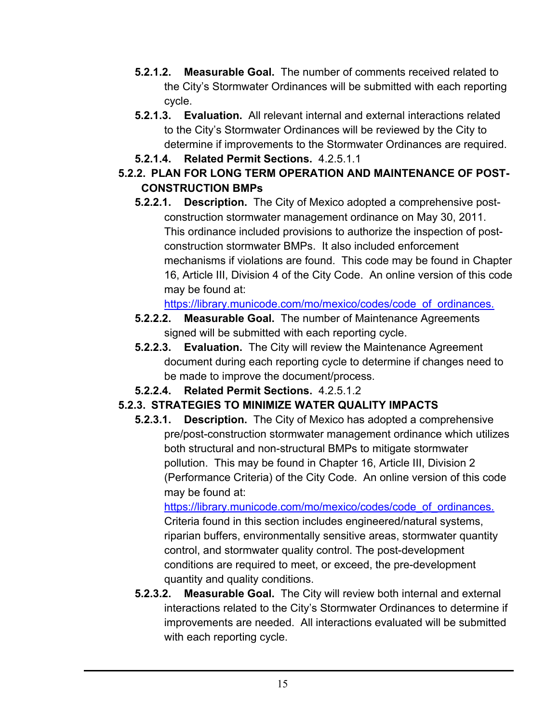- **5.2.1.2. Measurable Goal.** The number of comments received related to the City's Stormwater Ordinances will be submitted with each reporting cycle.
- **5.2.1.3. Evaluation.** All relevant internal and external interactions related to the City's Stormwater Ordinances will be reviewed by the City to determine if improvements to the Stormwater Ordinances are required.
- **5.2.1.4. Related Permit Sections.** 4.2.5.1.1

#### **5.2.2. PLAN FOR LONG TERM OPERATION AND MAINTENANCE OF POST-CONSTRUCTION BMPs**

**5.2.2.1. Description.** The City of Mexico adopted a comprehensive postconstruction stormwater management ordinance on May 30, 2011. This ordinance included provisions to authorize the inspection of postconstruction stormwater BMPs. It also included enforcement mechanisms if violations are found. This code may be found in Chapter 16, Article III, Division 4 of the City Code. An online version of this code may be found at:

https://library.municode.com/mo/mexico/codes/code\_of\_ordinances.

- **5.2.2.2. Measurable Goal.** The number of Maintenance Agreements signed will be submitted with each reporting cycle.
- **5.2.2.3. Evaluation.** The City will review the Maintenance Agreement document during each reporting cycle to determine if changes need to be made to improve the document/process.
- **5.2.2.4. Related Permit Sections.** 4.2.5.1.2

## **5.2.3. STRATEGIES TO MINIMIZE WATER QUALITY IMPACTS**

**5.2.3.1. Description.** The City of Mexico has adopted a comprehensive pre/post-construction stormwater management ordinance which utilizes both structural and non-structural BMPs to mitigate stormwater pollution. This may be found in Chapter 16, Article III, Division 2 (Performance Criteria) of the City Code. An online version of this code may be found at:

https://library.municode.com/mo/mexico/codes/code\_of\_ordinances. Criteria found in this section includes engineered/natural systems, riparian buffers, environmentally sensitive areas, stormwater quantity control, and stormwater quality control. The post-development conditions are required to meet, or exceed, the pre-development quantity and quality conditions.

**5.2.3.2. Measurable Goal.** The City will review both internal and external interactions related to the City's Stormwater Ordinances to determine if improvements are needed. All interactions evaluated will be submitted with each reporting cycle.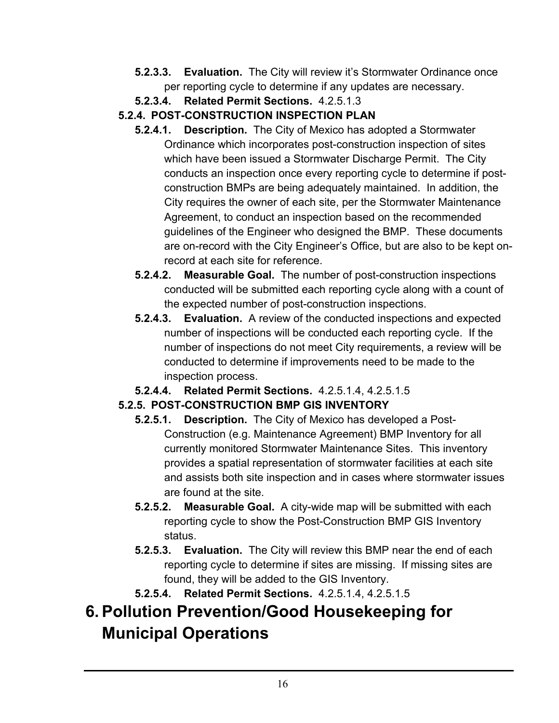- **5.2.3.3. Evaluation.** The City will review it's Stormwater Ordinance once per reporting cycle to determine if any updates are necessary.
- **5.2.3.4. Related Permit Sections.** 4.2.5.1.3
- **5.2.4. POST-CONSTRUCTION INSPECTION PLAN** 
	- **5.2.4.1. Description.** The City of Mexico has adopted a Stormwater Ordinance which incorporates post-construction inspection of sites which have been issued a Stormwater Discharge Permit. The City conducts an inspection once every reporting cycle to determine if postconstruction BMPs are being adequately maintained. In addition, the City requires the owner of each site, per the Stormwater Maintenance Agreement, to conduct an inspection based on the recommended guidelines of the Engineer who designed the BMP. These documents are on-record with the City Engineer's Office, but are also to be kept onrecord at each site for reference.
	- **5.2.4.2. Measurable Goal.** The number of post-construction inspections conducted will be submitted each reporting cycle along with a count of the expected number of post-construction inspections.
	- **5.2.4.3. Evaluation.** A review of the conducted inspections and expected number of inspections will be conducted each reporting cycle. If the number of inspections do not meet City requirements, a review will be conducted to determine if improvements need to be made to the inspection process.
	- **5.2.4.4. Related Permit Sections.** 4.2.5.1.4, 4.2.5.1.5

## **5.2.5. POST-CONSTRUCTION BMP GIS INVENTORY**

- **5.2.5.1. Description.** The City of Mexico has developed a Post-Construction (e.g. Maintenance Agreement) BMP Inventory for all currently monitored Stormwater Maintenance Sites. This inventory provides a spatial representation of stormwater facilities at each site and assists both site inspection and in cases where stormwater issues are found at the site.
- **5.2.5.2. Measurable Goal.** A city-wide map will be submitted with each reporting cycle to show the Post-Construction BMP GIS Inventory status.
- **5.2.5.3. Evaluation.** The City will review this BMP near the end of each reporting cycle to determine if sites are missing. If missing sites are found, they will be added to the GIS Inventory.
- **5.2.5.4. Related Permit Sections.** 4.2.5.1.4, 4.2.5.1.5

# **6. Pollution Prevention/Good Housekeeping for Municipal Operations**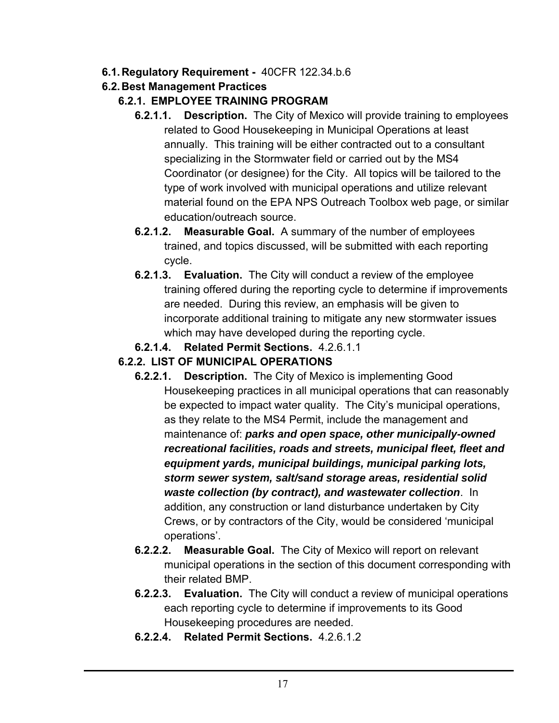- **6.1. Regulatory Requirement** 40CFR 122.34.b.6
- **6.2. Best Management Practices**

#### **6.2.1. EMPLOYEE TRAINING PROGRAM**

- **6.2.1.1. Description.** The City of Mexico will provide training to employees related to Good Housekeeping in Municipal Operations at least annually. This training will be either contracted out to a consultant specializing in the Stormwater field or carried out by the MS4 Coordinator (or designee) for the City. All topics will be tailored to the type of work involved with municipal operations and utilize relevant material found on the EPA NPS Outreach Toolbox web page, or similar education/outreach source.
- **6.2.1.2. Measurable Goal.** A summary of the number of employees trained, and topics discussed, will be submitted with each reporting cycle.
- **6.2.1.3. Evaluation.** The City will conduct a review of the employee training offered during the reporting cycle to determine if improvements are needed. During this review, an emphasis will be given to incorporate additional training to mitigate any new stormwater issues which may have developed during the reporting cycle.
- **6.2.1.4. Related Permit Sections.** 4.2.6.1.1

#### **6.2.2. LIST OF MUNICIPAL OPERATIONS**

- **6.2.2.1. Description.** The City of Mexico is implementing Good Housekeeping practices in all municipal operations that can reasonably be expected to impact water quality. The City's municipal operations, as they relate to the MS4 Permit, include the management and maintenance of: *parks and open space, other municipally-owned recreational facilities, roads and streets, municipal fleet, fleet and equipment yards, municipal buildings, municipal parking lots, storm sewer system, salt/sand storage areas, residential solid waste collection (by contract), and wastewater collection*. In addition, any construction or land disturbance undertaken by City Crews, or by contractors of the City, would be considered 'municipal operations'.
- **6.2.2.2. Measurable Goal.** The City of Mexico will report on relevant municipal operations in the section of this document corresponding with their related BMP.
- **6.2.2.3. Evaluation.** The City will conduct a review of municipal operations each reporting cycle to determine if improvements to its Good Housekeeping procedures are needed.
- **6.2.2.4. Related Permit Sections.** 4.2.6.1.2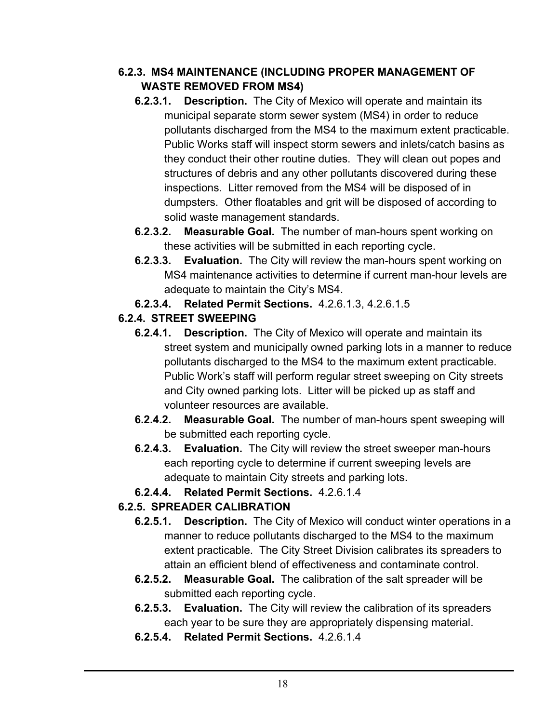#### **6.2.3. MS4 MAINTENANCE (INCLUDING PROPER MANAGEMENT OF WASTE REMOVED FROM MS4)**

- **6.2.3.1. Description.** The City of Mexico will operate and maintain its municipal separate storm sewer system (MS4) in order to reduce pollutants discharged from the MS4 to the maximum extent practicable. Public Works staff will inspect storm sewers and inlets/catch basins as they conduct their other routine duties. They will clean out popes and structures of debris and any other pollutants discovered during these inspections. Litter removed from the MS4 will be disposed of in dumpsters. Other floatables and grit will be disposed of according to solid waste management standards.
- **6.2.3.2. Measurable Goal.** The number of man-hours spent working on these activities will be submitted in each reporting cycle.
- **6.2.3.3. Evaluation.** The City will review the man-hours spent working on MS4 maintenance activities to determine if current man-hour levels are adequate to maintain the City's MS4.
- **6.2.3.4. Related Permit Sections.** 4.2.6.1.3, 4.2.6.1.5

## **6.2.4. STREET SWEEPING**

- **6.2.4.1. Description.** The City of Mexico will operate and maintain its street system and municipally owned parking lots in a manner to reduce pollutants discharged to the MS4 to the maximum extent practicable. Public Work's staff will perform regular street sweeping on City streets and City owned parking lots. Litter will be picked up as staff and volunteer resources are available.
- **6.2.4.2. Measurable Goal.** The number of man-hours spent sweeping will be submitted each reporting cycle.
- **6.2.4.3. Evaluation.** The City will review the street sweeper man-hours each reporting cycle to determine if current sweeping levels are adequate to maintain City streets and parking lots.
- **6.2.4.4. Related Permit Sections.** 4.2.6.1.4

## **6.2.5. SPREADER CALIBRATION**

- **6.2.5.1. Description.** The City of Mexico will conduct winter operations in a manner to reduce pollutants discharged to the MS4 to the maximum extent practicable. The City Street Division calibrates its spreaders to attain an efficient blend of effectiveness and contaminate control.
- **6.2.5.2. Measurable Goal.** The calibration of the salt spreader will be submitted each reporting cycle.
- **6.2.5.3. Evaluation.** The City will review the calibration of its spreaders each year to be sure they are appropriately dispensing material.
- **6.2.5.4. Related Permit Sections.** 4.2.6.1.4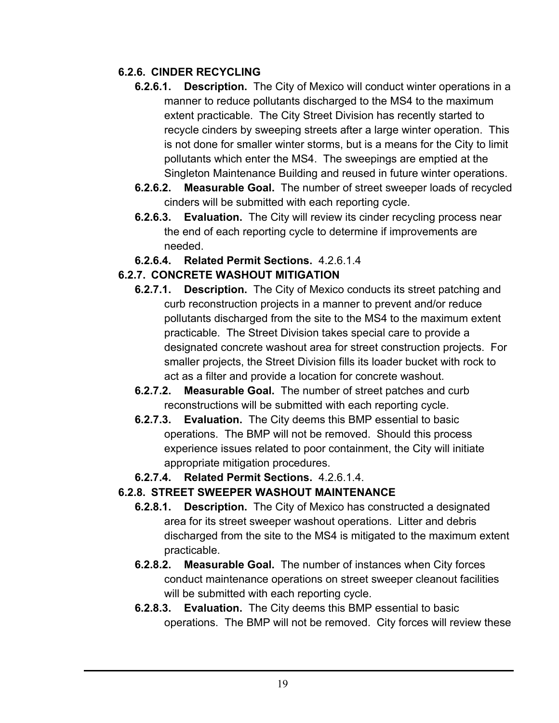#### **6.2.6. CINDER RECYCLING**

- **6.2.6.1. Description.** The City of Mexico will conduct winter operations in a manner to reduce pollutants discharged to the MS4 to the maximum extent practicable. The City Street Division has recently started to recycle cinders by sweeping streets after a large winter operation. This is not done for smaller winter storms, but is a means for the City to limit pollutants which enter the MS4. The sweepings are emptied at the Singleton Maintenance Building and reused in future winter operations.
- **6.2.6.2. Measurable Goal.** The number of street sweeper loads of recycled cinders will be submitted with each reporting cycle.
- **6.2.6.3. Evaluation.** The City will review its cinder recycling process near the end of each reporting cycle to determine if improvements are needed.
- **6.2.6.4. Related Permit Sections.** 4.2.6.1.4

## **6.2.7. CONCRETE WASHOUT MITIGATION**

- **6.2.7.1. Description.** The City of Mexico conducts its street patching and curb reconstruction projects in a manner to prevent and/or reduce pollutants discharged from the site to the MS4 to the maximum extent practicable. The Street Division takes special care to provide a designated concrete washout area for street construction projects. For smaller projects, the Street Division fills its loader bucket with rock to act as a filter and provide a location for concrete washout.
- **6.2.7.2. Measurable Goal.** The number of street patches and curb reconstructions will be submitted with each reporting cycle.
- **6.2.7.3. Evaluation.** The City deems this BMP essential to basic operations. The BMP will not be removed. Should this process experience issues related to poor containment, the City will initiate appropriate mitigation procedures.
- **6.2.7.4. Related Permit Sections.** 4.2.6.1.4.

#### **6.2.8. STREET SWEEPER WASHOUT MAINTENANCE**

- **6.2.8.1. Description.** The City of Mexico has constructed a designated area for its street sweeper washout operations. Litter and debris discharged from the site to the MS4 is mitigated to the maximum extent practicable.
- **6.2.8.2. Measurable Goal.** The number of instances when City forces conduct maintenance operations on street sweeper cleanout facilities will be submitted with each reporting cycle.
- **6.2.8.3. Evaluation.** The City deems this BMP essential to basic operations. The BMP will not be removed. City forces will review these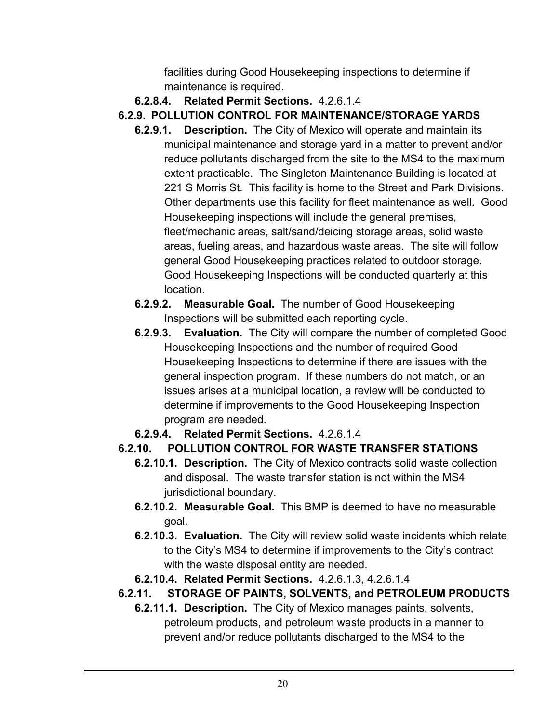facilities during Good Housekeeping inspections to determine if maintenance is required.

- **6.2.8.4. Related Permit Sections.** 4.2.6.1.4
- **6.2.9. POLLUTION CONTROL FOR MAINTENANCE/STORAGE YARDS** 
	- **6.2.9.1. Description.** The City of Mexico will operate and maintain its municipal maintenance and storage yard in a matter to prevent and/or reduce pollutants discharged from the site to the MS4 to the maximum extent practicable. The Singleton Maintenance Building is located at 221 S Morris St. This facility is home to the Street and Park Divisions. Other departments use this facility for fleet maintenance as well. Good Housekeeping inspections will include the general premises, fleet/mechanic areas, salt/sand/deicing storage areas, solid waste areas, fueling areas, and hazardous waste areas. The site will follow general Good Housekeeping practices related to outdoor storage. Good Housekeeping Inspections will be conducted quarterly at this location.
	- **6.2.9.2. Measurable Goal.** The number of Good Housekeeping Inspections will be submitted each reporting cycle.
	- **6.2.9.3. Evaluation.** The City will compare the number of completed Good Housekeeping Inspections and the number of required Good Housekeeping Inspections to determine if there are issues with the general inspection program. If these numbers do not match, or an issues arises at a municipal location, a review will be conducted to determine if improvements to the Good Housekeeping Inspection program are needed.
	- **6.2.9.4. Related Permit Sections.** 4.2.6.1.4

## **6.2.10. POLLUTION CONTROL FOR WASTE TRANSFER STATIONS**

- **6.2.10.1. Description.** The City of Mexico contracts solid waste collection and disposal. The waste transfer station is not within the MS4 jurisdictional boundary.
- **6.2.10.2. Measurable Goal.** This BMP is deemed to have no measurable goal.
- **6.2.10.3. Evaluation.** The City will review solid waste incidents which relate to the City's MS4 to determine if improvements to the City's contract with the waste disposal entity are needed.
- **6.2.10.4. Related Permit Sections.** 4.2.6.1.3, 4.2.6.1.4
- **6.2.11. STORAGE OF PAINTS, SOLVENTS, and PETROLEUM PRODUCTS** 
	- **6.2.11.1. Description.** The City of Mexico manages paints, solvents, petroleum products, and petroleum waste products in a manner to prevent and/or reduce pollutants discharged to the MS4 to the